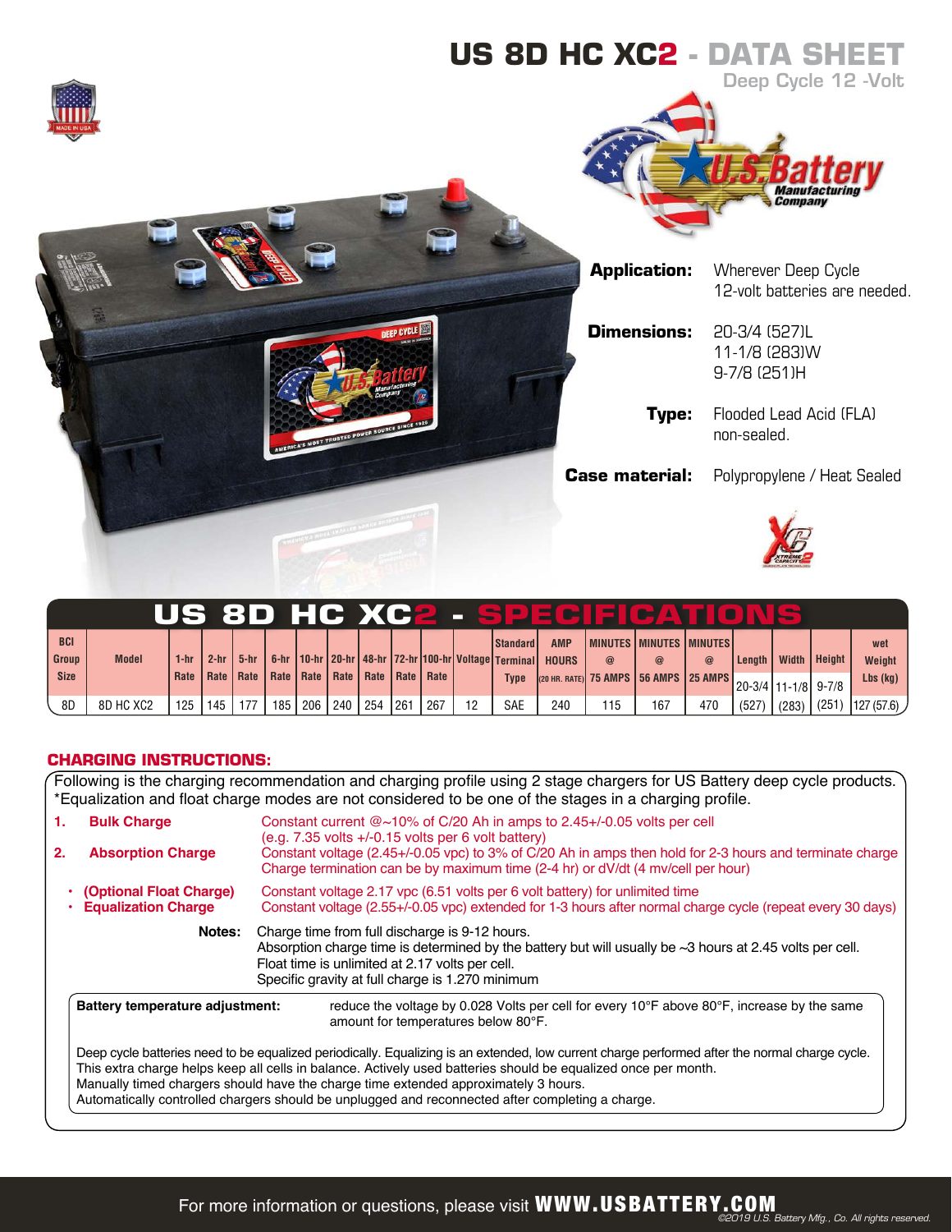

|             |              |        |             |        |                    |           |      |     |     |                    |                                                                    |              |          | US 8D HC XC2 - SPECIE CAT                                 |             |          |       |                |             |
|-------------|--------------|--------|-------------|--------|--------------------|-----------|------|-----|-----|--------------------|--------------------------------------------------------------------|--------------|----------|-----------------------------------------------------------|-------------|----------|-------|----------------|-------------|
| <b>BCI</b>  |              |        |             |        |                    |           |      |     |     |                    | <b>Standard</b>                                                    | <b>AMP</b>   |          | I MINUTES I MINUTES I MINUTES I                           |             |          |       |                | wet         |
| Group       | <b>Model</b> | $1-hr$ | $2-hr$      | $5-hr$ |                    |           |      |     |     |                    | 6-hr   10-hr   20-hr   48-hr   72-hr   100-hr   Voltage   Terminal | <b>HOURS</b> | $\omega$ | $\circleda$                                               | $\circleda$ | Lenath I |       | Width   Height | Weight      |
| <b>Size</b> |              |        | Rate   Rate |        | Rate   Rate   Rate |           | Rate |     |     | Rate   Rate   Rate | <b>Type</b>                                                        |              |          | (20 HR. RATE) 75 AMPS 56 AMPS 25 AMPS 20-3/4 11-1/8 9-7/8 |             |          |       |                | $Lbs$ (kg)  |
| 8D          | 8D HC XC2    | 125    | 145         |        |                    | 185   206 | 240  | 254 | 261 | 267 ،              | <b>SAE</b>                                                         | 240          | 115      | 167                                                       | 470         | (527)    | (283) | (251)          | [127(57.6)] |

## **CHARGING INSTRUCTIONS:**

Following is the charging recommendation and charging profile using 2 stage chargers for US Battery deep cycle products. \*Equalization and float charge modes are not considered to be one of the stages in a charging profile.

| 1.<br>2. | <b>Bulk Charge</b><br><b>Absorption Charge</b>          | Constant current @~10% of C/20 Ah in amps to 2.45+/-0.05 volts per cell<br>$(e.g. 7.35$ volts $+/-0.15$ volts per 6 volt battery)<br>Constant voltage (2.45+/-0.05 vpc) to 3% of C/20 Ah in amps then hold for 2-3 hours and terminate charge<br>Charge termination can be by maximum time (2-4 hr) or dV/dt (4 mv/cell per hour)                                                                                                                           |  |  |  |  |  |  |  |
|----------|---------------------------------------------------------|-------------------------------------------------------------------------------------------------------------------------------------------------------------------------------------------------------------------------------------------------------------------------------------------------------------------------------------------------------------------------------------------------------------------------------------------------------------|--|--|--|--|--|--|--|
|          | • (Optional Float Charge)<br><b>Equalization Charge</b> | Constant voltage 2.17 ypc (6.51 volts per 6 volt battery) for unlimited time<br>Constant voltage (2.55+/-0.05 vpc) extended for 1-3 hours after normal charge cycle (repeat every 30 days)                                                                                                                                                                                                                                                                  |  |  |  |  |  |  |  |
|          | Notes:                                                  | Charge time from full discharge is 9-12 hours.<br>Absorption charge time is determined by the battery but will usually be $\sim$ 3 hours at 2.45 volts per cell.<br>Float time is unlimited at 2.17 volts per cell.<br>Specific gravity at full charge is 1.270 minimum                                                                                                                                                                                     |  |  |  |  |  |  |  |
|          | Battery temperature adjustment:                         | reduce the voltage by 0.028 Volts per cell for every 10°F above 80°F, increase by the same<br>amount for temperatures below 80°F.                                                                                                                                                                                                                                                                                                                           |  |  |  |  |  |  |  |
|          |                                                         | Deep cycle batteries need to be equalized periodically. Equalizing is an extended, low current charge performed after the normal charge cycle.<br>This extra charge helps keep all cells in balance. Actively used batteries should be equalized once per month.<br>Manually timed chargers should have the charge time extended approximately 3 hours.<br>Automatically controlled chargers should be unplugged and reconnected after completing a charge. |  |  |  |  |  |  |  |